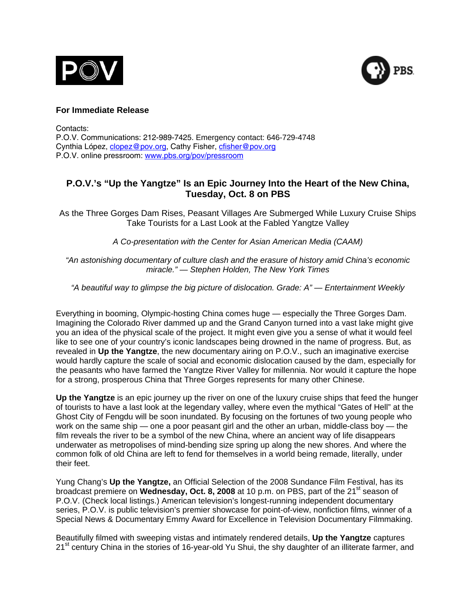



# **For Immediate Release**

Contacts: P.O.V. Communications: 212-989-7425. Emergency contact: 646-729-4748 Cynthia López, [clopez@pov.org,](mailto:clopez@pov.org) Cathy Fisher, [cfisher@pov.org](mailto:cfisher@pov.org)  P.O.V. online pressroom: [www.pbs.org/pov/pressroom](http://www.pbs.org/pov/pressroom)

# **P.O.V.'s "Up the Yangtze" Is an Epic Journey Into the Heart of the New China, Tuesday, Oct. 8 on PBS**

As the Three Gorges Dam Rises, Peasant Villages Are Submerged While Luxury Cruise Ships Take Tourists for a Last Look at the Fabled Yangtze Valley

*A Co-presentation with the Center for Asian American Media (CAAM)*

*"An astonishing documentary of culture clash and the erasure of history amid China's economic miracle." — Stephen Holden, The New York Times* 

*"A beautiful way to glimpse the big picture of dislocation. Grade: A" — Entertainment Weekly*

Everything in booming, Olympic-hosting China comes huge — especially the Three Gorges Dam. Imagining the Colorado River dammed up and the Grand Canyon turned into a vast lake might give you an idea of the physical scale of the project. It might even give you a sense of what it would feel like to see one of your country's iconic landscapes being drowned in the name of progress. But, as revealed in **Up the Yangtze**, the new documentary airing on P.O.V., such an imaginative exercise would hardly capture the scale of social and economic dislocation caused by the dam, especially for the peasants who have farmed the Yangtze River Valley for millennia. Nor would it capture the hope for a strong, prosperous China that Three Gorges represents for many other Chinese.

**Up the Yangtze** is an epic journey up the river on one of the luxury cruise ships that feed the hunger of tourists to have a last look at the legendary valley, where even the mythical "Gates of Hell" at the Ghost City of Fengdu will be soon inundated. By focusing on the fortunes of two young people who work on the same ship — one a poor peasant girl and the other an urban, middle-class boy — the film reveals the river to be a symbol of the new China, where an ancient way of life disappears underwater as metropolises of mind-bending size spring up along the new shores. And where the common folk of old China are left to fend for themselves in a world being remade, literally, under their feet.

Yung Chang's **Up the Yangtze,** an Official Selection of the 2008 Sundance Film Festival, has its broadcast premiere on **Wednesday, Oct. 8, 2008** at 10 p.m. on PBS, part of the 21<sup>st</sup> season of P.O.V. (Check local listings.) American television's longest-running independent documentary series, P.O.V. is public television's premier showcase for point-of-view, nonfiction films, winner of a Special News & Documentary Emmy Award for Excellence in Television Documentary Filmmaking.

Beautifully filmed with sweeping vistas and intimately rendered details, **Up the Yangtze** captures 21<sup>st</sup> century China in the stories of 16-year-old Yu Shui, the shy daughter of an illiterate farmer, and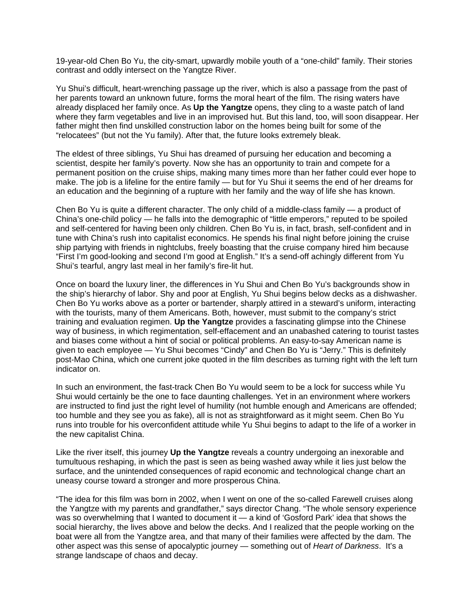19-year-old Chen Bo Yu, the city-smart, upwardly mobile youth of a "one-child" family. Their stories contrast and oddly intersect on the Yangtze River.

Yu Shui's difficult, heart-wrenching passage up the river, which is also a passage from the past of her parents toward an unknown future, forms the moral heart of the film. The rising waters have already displaced her family once. As **Up the Yangtze** opens, they cling to a waste patch of land where they farm vegetables and live in an improvised hut. But this land, too, will soon disappear. Her father might then find unskilled construction labor on the homes being built for some of the "relocatees" (but not the Yu family). After that, the future looks extremely bleak.

The eldest of three siblings, Yu Shui has dreamed of pursuing her education and becoming a scientist, despite her family's poverty. Now she has an opportunity to train and compete for a permanent position on the cruise ships, making many times more than her father could ever hope to make. The job is a lifeline for the entire family — but for Yu Shui it seems the end of her dreams for an education and the beginning of a rupture with her family and the way of life she has known.

Chen Bo Yu is quite a different character. The only child of a middle-class family — a product of China's one-child policy — he falls into the demographic of "little emperors," reputed to be spoiled and self-centered for having been only children. Chen Bo Yu is, in fact, brash, self-confident and in tune with China's rush into capitalist economics. He spends his final night before joining the cruise ship partying with friends in nightclubs, freely boasting that the cruise company hired him because "First I'm good-looking and second I'm good at English." It's a send-off achingly different from Yu Shui's tearful, angry last meal in her family's fire-lit hut.

Once on board the luxury liner, the differences in Yu Shui and Chen Bo Yu's backgrounds show in the ship's hierarchy of labor. Shy and poor at English, Yu Shui begins below decks as a dishwasher. Chen Bo Yu works above as a porter or bartender, sharply attired in a steward's uniform, interacting with the tourists, many of them Americans. Both, however, must submit to the company's strict training and evaluation regimen. **Up the Yangtze** provides a fascinating glimpse into the Chinese way of business, in which regimentation, self-effacement and an unabashed catering to tourist tastes and biases come without a hint of social or political problems. An easy-to-say American name is given to each employee — Yu Shui becomes "Cindy" and Chen Bo Yu is "Jerry." This is definitely post-Mao China, which one current joke quoted in the film describes as turning right with the left turn indicator on.

In such an environment, the fast-track Chen Bo Yu would seem to be a lock for success while Yu Shui would certainly be the one to face daunting challenges. Yet in an environment where workers are instructed to find just the right level of humility (not humble enough and Americans are offended; too humble and they see you as fake), all is not as straightforward as it might seem. Chen Bo Yu runs into trouble for his overconfident attitude while Yu Shui begins to adapt to the life of a worker in the new capitalist China.

Like the river itself, this journey **Up the Yangtze** reveals a country undergoing an inexorable and tumultuous reshaping, in which the past is seen as being washed away while it lies just below the surface, and the unintended consequences of rapid economic and technological change chart an uneasy course toward a stronger and more prosperous China.

"The idea for this film was born in 2002, when I went on one of the so-called Farewell cruises along the Yangtze with my parents and grandfather," says director Chang. "The whole sensory experience was so overwhelming that I wanted to document it — a kind of 'Gosford Park' idea that shows the social hierarchy, the lives above and below the decks. And I realized that the people working on the boat were all from the Yangtze area, and that many of their families were affected by the dam. The other aspect was this sense of apocalyptic journey — something out of *Heart of Darkness*. It's a strange landscape of chaos and decay.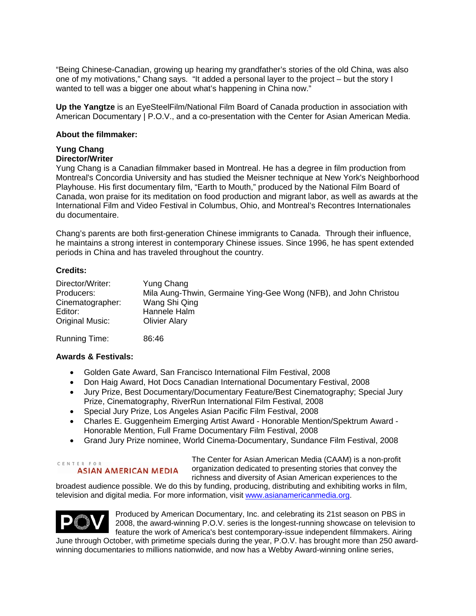"Being Chinese-Canadian, growing up hearing my grandfather's stories of the old China, was also one of my motivations," Chang says. "It added a personal layer to the project – but the story I wanted to tell was a bigger one about what's happening in China now."

**Up the Yangtze** is an EyeSteelFilm/National Film Board of Canada production in association with American Documentary | P.O.V., and a co-presentation with the Center for Asian American Media.

# **About the filmmaker:**

# **Yung Chang**

# **Director/Writer**

Yung Chang is a Canadian filmmaker based in Montreal. He has a degree in film production from Montreal's Concordia University and has studied the Meisner technique at New York's Neighborhood Playhouse. His first documentary film, "Earth to Mouth," produced by the National Film Board of Canada, won praise for its meditation on food production and migrant labor, as well as awards at the International Film and Video Festival in Columbus, Ohio, and Montreal's Recontres Internationales du documentaire.

Chang's parents are both first-generation Chinese immigrants to Canada. Through their influence, he maintains a strong interest in contemporary Chinese issues. Since 1996, he has spent extended periods in China and has traveled throughout the country.

# **Credits:**

| Director/Writer: | Yung Chang                                                       |
|------------------|------------------------------------------------------------------|
| Producers:       | Mila Aung-Thwin, Germaine Ying-Gee Wong (NFB), and John Christou |
| Cinematographer: | Wang Shi Qing                                                    |
| Editor:          | Hannele Halm                                                     |
| Original Music:  | <b>Olivier Alary</b>                                             |
|                  |                                                                  |

Running Time:86:46

# **Awards & Festivals:**

- Golden Gate Award, San Francisco International Film Festival, 2008
- Don Haig Award, [Hot Docs Canadian International Documentary Festival](http://www.imdb.com/Sections/Awards/Hot_Docs_Canadian_International_Documentary_Festival/), 2008
- Jury Prize, Best Documentary/Documentary Feature/Best Cinematography; Special Jury Prize, Cinematography, RiverRun International Film Festival, 2008
- Special Jury Prize, [Los Angeles Asian Pacific Film Festival,](http://www.imdb.com/Sections/Awards/VC_FilmFest_-_Los_Angeles_Asian_Pacific_Film_Festival/) 2008
- Charles E. Guggenheim Emerging Artist Award Honorable Mention/Spektrum Award Honorable Mention, Full Frame Documentary Film Festival, 2008
- Grand Jury Prize nominee, World Cinema-Documentary, Sundance Film Festival, 2008

#### CENTER FOR **ASIAN AMERICAN MEDIA**

The Center for Asian American Media (CAAM) is a non-profit organization dedicated to presenting stories that convey the richness and diversity of Asian American experiences to the

broadest audience possible. We do this by funding, producing, distributing and exhibiting works in film, television and digital media. For more information, visit [www.asianamericanmedia.org.](http://www.asianamericanmedia.org/)



Produced by American Documentary, Inc. and celebrating its 21st season on PBS in 2008, the award-winning P.O.V. series is the longest-running showcase on television to feature the work of America's best contemporary-issue independent filmmakers. Airing June through October, with primetime specials during the year, P.O.V. has brought more than 250 award-

winning documentaries to millions nationwide, and now has a Webby Award-winning online series,